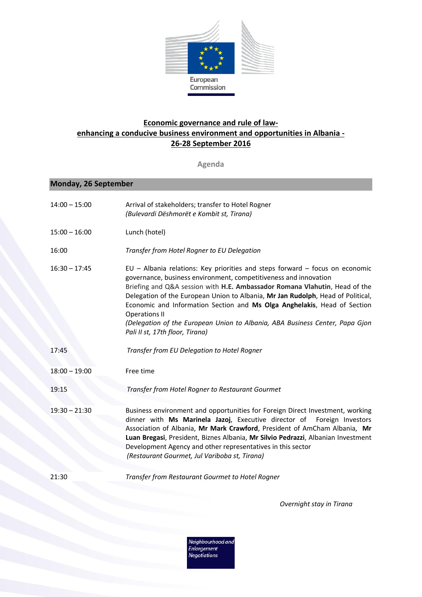

## **Economic governance and rule of lawenhancing a conducive business environment and opportunities in Albania - 26-28 September 2016**

**Agenda**

## **Monday, 26 September**

| $14:00 - 15:00$ | Arrival of stakeholders; transfer to Hotel Rogner<br>(Bulevardi Dëshmorët e Kombit st, Tirana)                                                                                                                                                                                                                                                                                                                                                                                                                                           |
|-----------------|------------------------------------------------------------------------------------------------------------------------------------------------------------------------------------------------------------------------------------------------------------------------------------------------------------------------------------------------------------------------------------------------------------------------------------------------------------------------------------------------------------------------------------------|
| $15:00 - 16:00$ | Lunch (hotel)                                                                                                                                                                                                                                                                                                                                                                                                                                                                                                                            |
| 16:00           | Transfer from Hotel Rogner to EU Delegation                                                                                                                                                                                                                                                                                                                                                                                                                                                                                              |
| $16:30 - 17:45$ | EU - Albania relations: Key priorities and steps forward - focus on economic<br>governance, business environment, competitiveness and innovation<br>Briefing and Q&A session with H.E. Ambassador Romana Vlahutin, Head of the<br>Delegation of the European Union to Albania, Mr Jan Rudolph, Head of Political,<br>Economic and Information Section and Ms Olga Anghelakis, Head of Section<br><b>Operations II</b><br>(Delegation of the European Union to Albania, ABA Business Center, Papa Gjon<br>Pali II st, 17th floor, Tirana) |
| 17:45           | Transfer from EU Delegation to Hotel Rogner                                                                                                                                                                                                                                                                                                                                                                                                                                                                                              |
| $18:00 - 19:00$ | Free time                                                                                                                                                                                                                                                                                                                                                                                                                                                                                                                                |
| 19:15           | Transfer from Hotel Rogner to Restaurant Gourmet                                                                                                                                                                                                                                                                                                                                                                                                                                                                                         |
| $19:30 - 21:30$ | Business environment and opportunities for Foreign Direct Investment, working<br>dinner with Ms Marinela Jazoj, Executive director of Foreign Investors<br>Association of Albania, Mr Mark Crawford, President of AmCham Albania, Mr<br>Luan Bregasi, President, Biznes Albania, Mr Silvio Pedrazzi, Albanian Investment<br>Development Agency and other representatives in this sector<br>(Restaurant Gourmet, Jul Variboba st, Tirana)                                                                                                 |
| 21:30           | Transfer from Restaurant Gourmet to Hotel Rogner                                                                                                                                                                                                                                                                                                                                                                                                                                                                                         |

*Overnight stay in Tirana*

Neighbourhood and<br>Enlargement<br>Negotiations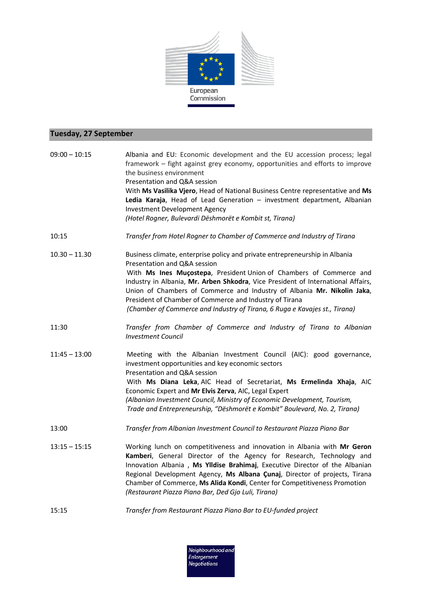

## **Tuesday, 27 September**

| $09:00 - 10:15$ | Albania and EU: Economic development and the EU accession process; legal<br>framework – fight against grey economy, opportunities and efforts to improve<br>the business environment<br>Presentation and Q&A session<br>With Ms Vasilika Vjero, Head of National Business Centre representative and Ms                                                                                                                                                                                     |
|-----------------|--------------------------------------------------------------------------------------------------------------------------------------------------------------------------------------------------------------------------------------------------------------------------------------------------------------------------------------------------------------------------------------------------------------------------------------------------------------------------------------------|
|                 | Ledia Karaja, Head of Lead Generation - investment department, Albanian<br><b>Investment Development Agency</b><br>(Hotel Rogner, Bulevardi Dëshmorët e Kombit st, Tirana)                                                                                                                                                                                                                                                                                                                 |
| 10:15           | Transfer from Hotel Rogner to Chamber of Commerce and Industry of Tirana                                                                                                                                                                                                                                                                                                                                                                                                                   |
| $10.30 - 11.30$ | Business climate, enterprise policy and private entrepreneurship in Albania<br>Presentation and Q&A session<br>With Ms Ines Muçostepa, President Union of Chambers of Commerce and<br>Industry in Albania, Mr. Arben Shkodra, Vice President of International Affairs,<br>Union of Chambers of Commerce and Industry of Albania Mr. Nikolin Jaka,<br>President of Chamber of Commerce and Industry of Tirana<br>(Chamber of Commerce and Industry of Tirana, 6 Ruga e Kavajes st., Tirana) |
| 11:30           | Transfer from Chamber of Commerce and Industry of Tirana to Albanian<br><b>Investment Council</b>                                                                                                                                                                                                                                                                                                                                                                                          |
| $11:45 - 13:00$ | Meeting with the Albanian Investment Council (AIC): good governance,<br>investment opportunities and key economic sectors<br>Presentation and Q&A session<br>With Ms Diana Leka, AIC Head of Secretariat, Ms Ermelinda Xhaja, AIC<br>Economic Expert and Mr Elvis Zerva, AIC, Legal Expert<br>(Albanian Investment Council, Ministry of Economic Development, Tourism,<br>Trade and Entrepreneurship, "Dëshmorët e Kombit" Boulevard, No. 2, Tirana)                                       |
| 13:00           | Transfer from Albanian Investment Council to Restaurant Piazza Piano Bar                                                                                                                                                                                                                                                                                                                                                                                                                   |
| $13:15 - 15:15$ | Working lunch on competitiveness and innovation in Albania with Mr Geron<br>Kamberi, General Director of the Agency for Research, Technology and<br>Innovation Albania, Ms Ylldise Brahimaj, Executive Director of the Albanian<br>Regional Development Agency, Ms Albana Çunaj, Director of projects, Tirana<br>Chamber of Commerce, Ms Alida Kondi, Center for Competitiveness Promotion<br>(Restaurant Piazza Piano Bar, Ded Gjo Luli, Tirana)                                          |

15:15 *Transfer from Restaurant Piazza Piano Bar to EU-funded project*